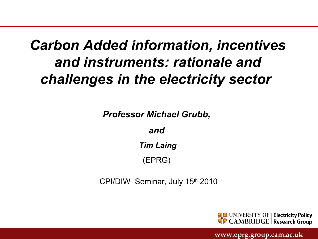# *Carbon Added information, incentives and instruments: rationale and challenges in the electricity sector*

*Professor Michael Grubb,* 

*and* 

*Tim Laing*

(EPRG)

CPI/DIW Seminar, July 15th 2010

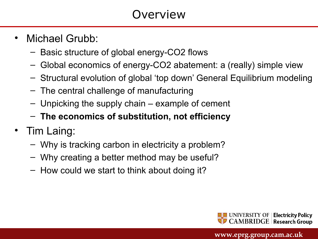# **Overview**

- Michael Grubb:
	- Basic structure of global energy-CO2 flows
	- Global economics of energy-CO2 abatement: a (really) simple view
	- Structural evolution of global 'top down' General Equilibrium modeling
	- The central challenge of manufacturing
	- Unpicking the supply chain example of cement
	- **The economics of substitution, not efficiency**
- Tim Laing:
	- Why is tracking carbon in electricity a problem?
	- Why creating a better method may be useful?
	- How could we start to think about doing it?

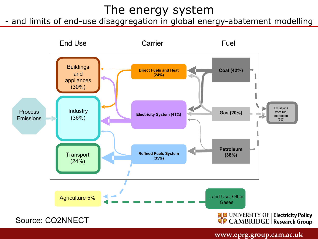## The energy system

- and limits of end-use disaggregation in global energy-abatement modelling

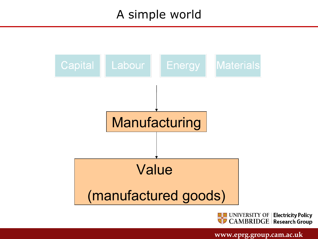## A simple world



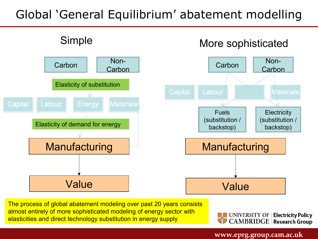# Global 'General Equilibrium' abatement modelling



The process of global abatement modeling over past 20 years consists almost entirely of more sophisticated modeling of energy sector with elasticities and direct technology substitution in energy supply

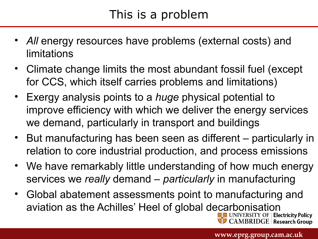# This is a problem

- All energy resources have problems (external costs) and limitations
- Climate change limits the most abundant fossil fuel (except for CCS, which itself carries problems and limitations)
- Exergy analysis points to a *huge* physical potential to improve efficiency with which we deliver the energy services we demand, particularly in transport and buildings
- But manufacturing has been seen as different particularly in relation to core industrial production, and process emissions
- We have remarkably little understanding of how much energy services we *really* demand – *particularly* in manufacturing
- Global abatement assessments point to manufacturing and aviation as the Achilles' Heel of global decarbonisation

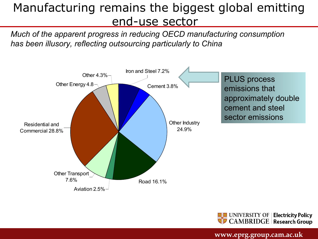## Manufacturing remains the biggest global emitting end-use sector

*Much of the apparent progress in reducing OECD manufacturing consumption has been illusory, reflecting outsourcing particularly to China*



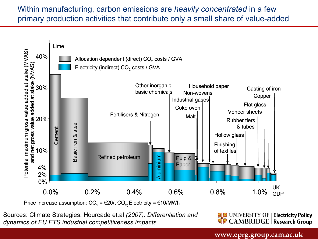Within manufacturing, carbon emissions are *heavily concentrated* in a few primary production activities that contribute only a small share of value-added



Price increase assumption:  $CO<sub>2</sub> = \epsilon$ 20/t  $CO<sub>2</sub>$ . Electricity =  $\epsilon$ 10/MWh

Sources: Climate Strategies: Hourcade et.al *(2007)*. *Differentiation and dynamics of EU ETS industrial competitiveness impacts*

**ELET** UNIVERSITY OF | Electricity Policy **CAMBRIDGE** Research Group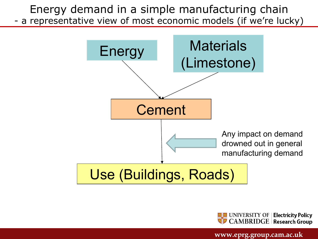Energy demand in a simple manufacturing chain a representative view of most economic models (if we're lucky)



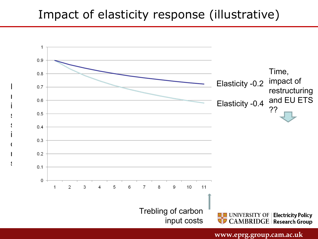#### Impact of elasticity response (illustrative)

 $\mathsf{L}$ 

m

i

s

s

i

 $\overline{C}$ 

n

s

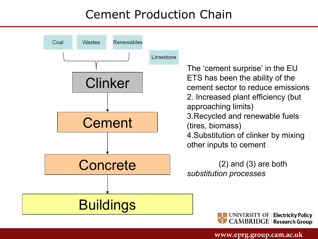# Cement Production Chain



The 'cement surprise' in the EU ETS has been the ability of the cement sector to reduce emissions 2. Increased plant efficiency (but approaching limits) 3.Recycled and renewable fuels (tires, biomass) 4.Substitution of clinker by mixing other inputs to cement

(2) and (3) are both *substitution processes*

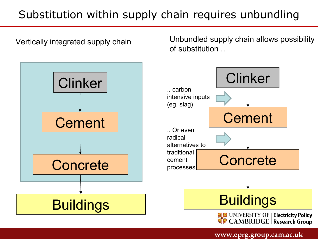## Substitution within supply chain requires unbundling

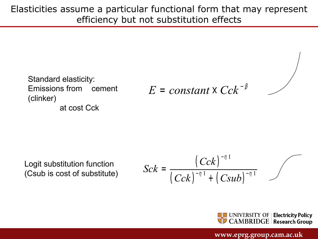Elasticities assume a particular functional form that may represent efficiency but not substitution effects

Standard elasticity: Emissions from cement (clinker) at cost Cck

 $E = constant \times Cck^{-\beta}$ 

Logit substitution function (Csub is cost of substitute)

$$
Sck = \frac{(Cck)^{-\eta}}{(Cck)^{-\eta}} + (Csub)^{-\eta}
$$

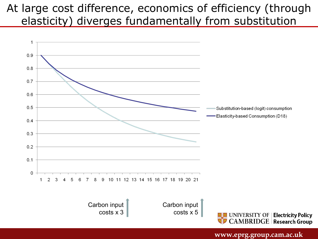#### At large cost difference, economics of efficiency (through elasticity) diverges fundamentally from substitution

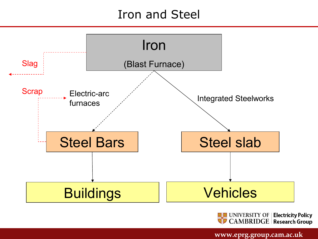## Iron and Steel



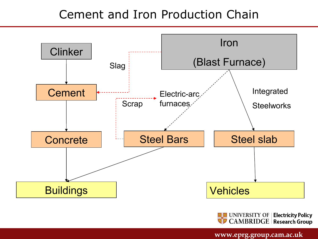#### Cement and Iron Production Chain



WONIVERSITY OF | Electricity Policy<br>|-<br>|} CAMBRIDGE | Research Group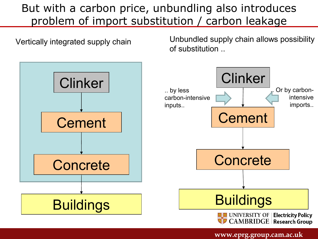#### But with a carbon price, unbundling also introduces problem of import substitution / carbon leakage

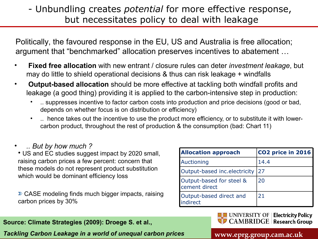#### - Unbundling creates *potential* for more effective response, but necessitates policy to deal with leakage

Politically, the favoured response in the EU, US and Australia is free allocation; argument that "benchmarked" allocation preserves incentives to abatement …

- **Fixed free allocation** with new entrant / closure rules can deter *investment leakage*, but may do little to shield operational decisions & thus can risk leakage + windfalls
- **Output-based allocation** should be more effective at tackling both windfall profits and leakage (a good thing) providing it is applied to the carbon-intensive step in production:
	- .. suppresses incentive to factor carbon costs into production and price decisions (good or bad, depends on whether focus is on distribution or efficiency)
	- .. hence takes out the incentive to use the product more efficiency, or to substitute it with lowercarbon product, throughout the rest of production & the consumption (bad: Chart 11)
- *.. But by how much ?*

• US and EC studies suggest impact by 2020 small, raising carbon prices a few percent: concern that these models do not represent product substitution which would be dominant efficiency loss

 $\Sigma$  CASE modeling finds much bigger impacts, raising carbon prices by 30%

#### **Source: Climate Strategies (2009): Droege S. et al.,**

*Tackling Carbon Leakage in a world of unequal carbon prices*

| <b>Allocation approach</b>                | CO2 price in 2016 |
|-------------------------------------------|-------------------|
| Auctioning                                | 14.4              |
| Output-based inc.electricity              | 27                |
| Output-based for steel &<br>cement direct | 20                |
| Output-based direct and<br>indirect       | 21                |

**UNIVERSITY OF | Electricity Policy CAMBRIDGE** Research Group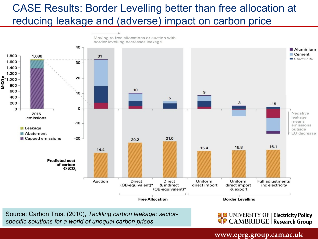#### CASE Results: Border Levelling better than free allocation at reducing leakage and (adverse) impact on carbon price

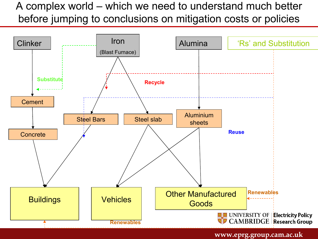#### A complex world – which we need to understand much better before jumping to conclusions on mitigation costs or policies

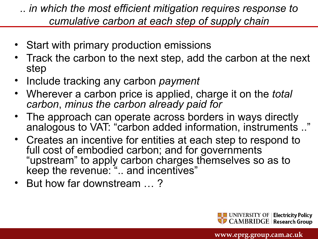*.. in which the most efficient mitigation requires response to cumulative carbon at each step of supply chain*

- Start with primary production emissions
- Track the carbon to the next step, add the carbon at the next step
- Include tracking any carbon *payment*
- Wherever a carbon price is applied, charge it on the *total carbon*, *minus the carbon already paid for*
- The approach can operate across borders in ways directly analogous to VAT: "carbon added information, instruments .."
- Creates an incentive for entities at each step to respond to full cost of embodied carbon; and for governments "upstream" to apply carbon charges themselves so as to keep the revenue: ".. and incentives"
- But how far downstream … ?

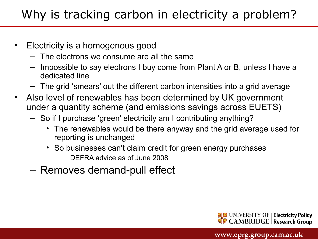# Why is tracking carbon in electricity a problem?

- Electricity is a homogenous good
	- The electrons we consume are all the same
	- Impossible to say electrons I buy come from Plant A or B, unless I have a dedicated line
	- The grid 'smears' out the different carbon intensities into a grid average
- Also level of renewables has been determined by UK government under a quantity scheme (and emissions savings across EUETS)
	- So if I purchase 'green' electricity am I contributing anything?
		- The renewables would be there anyway and the grid average used for reporting is unchanged
		- So businesses can't claim credit for green energy purchases
			- DEFRA advice as of June 2008
	- Removes demand-pull effect

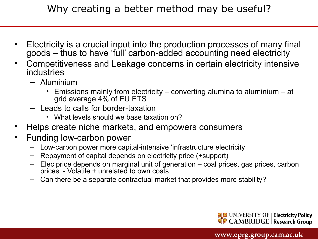#### Why creating a better method may be useful?

- Electricity is a crucial input into the production processes of many final goods – thus to have 'full' carbon-added accounting need electricity
- Competitiveness and Leakage concerns in certain electricity intensive industries
	- Aluminium
		- Emissions mainly from electricity converting alumina to aluminium at grid average 4% of EU ETS
	- Leads to calls for border-taxation
		- What levels should we base taxation on?
- Helps create niche markets, and empowers consumers
- Funding low-carbon power
	- Low-carbon power more capital-intensive 'infrastructure electricity
	- Repayment of capital depends on electricity price (+support)
	- Elec price depends on marginal unit of generation coal prices, gas prices, carbon prices - Volatile + unrelated to own costs
	- Can there be a separate contractual market that provides more stability?

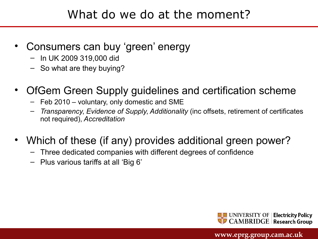## What do we do at the moment?

- Consumers can buy 'green' energy
	- In UK 2009 319,000 did
	- So what are they buying?
- OfGem Green Supply guidelines and certification scheme
	- Feb 2010 voluntary, only domestic and SME
	- *Transparency*, *Evidence of Supply*, *Additionality* (inc offsets, retirement of certificates not required), *Accreditation*
- Which of these (if any) provides additional green power?
	- Three dedicated companies with different degrees of confidence
	- Plus various tariffs at all 'Big 6'